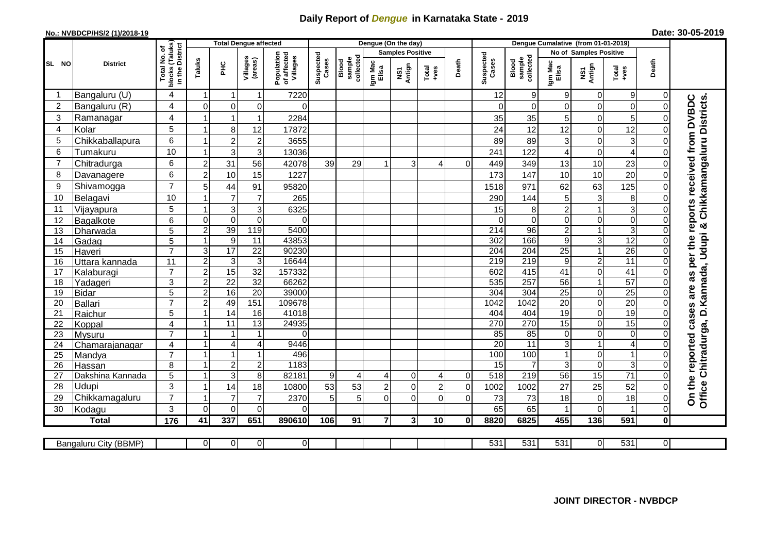## **Daily Report of** *Dengue* **in Karnataka State - 2019**

## **No.: NVBDCP/HS/2 (1)/2018-19**

| Date: 30-05-2019 |  |  |  |  |
|------------------|--|--|--|--|
|------------------|--|--|--|--|

|                |                           |                                           | <b>Total Dengue affected</b> |                                  |                     |                                       |                    |                              |                  | Dengue (On the day)     |                |                |                    |                              |                   |                               |                     |          |                                                                                                             |
|----------------|---------------------------|-------------------------------------------|------------------------------|----------------------------------|---------------------|---------------------------------------|--------------------|------------------------------|------------------|-------------------------|----------------|----------------|--------------------|------------------------------|-------------------|-------------------------------|---------------------|----------|-------------------------------------------------------------------------------------------------------------|
|                |                           | (Taluks)<br>District<br>৳                 |                              |                                  |                     |                                       |                    |                              |                  | <b>Samples Positive</b> |                |                |                    |                              |                   | <b>No of Samples Positive</b> |                     |          |                                                                                                             |
| SL NO          | <b>District</b>           | Total No.<br>blocks (Talu<br>in the Distr | Taluks                       | 꾿                                | Villages<br>(areas) | Population<br>of affected<br>Villages | Suspected<br>Cases | sample<br>collected<br>Blood | Igm Mac<br>Elisa | Antign<br>ΜŠ7           | Total<br>+ves  | Death          | Suspected<br>Cases | collected<br>sample<br>Blood | Igm Mac<br>Elisa  | NS1<br>Antign                 | Total<br>+ves       | Death    |                                                                                                             |
| -1             | Bangaluru (U)             | $\overline{4}$                            | $\mathbf 1$                  | $\mathbf 1$                      | $\mathbf{1}$        | 7220                                  |                    |                              |                  |                         |                |                | 12                 | 9                            | 9                 | $\mathbf 0$                   | 9                   | 0        |                                                                                                             |
| $\overline{c}$ | Bangaluru (R)             | $\overline{4}$                            | $\mathbf 0$                  | $\mathbf 0$                      | 0                   | 0                                     |                    |                              |                  |                         |                |                | $\Omega$           | $\mathbf 0$                  | 0                 | 0                             | $\mathbf 0$         | $\Omega$ |                                                                                                             |
| 3              | Ramanagar                 | $\overline{4}$                            | 1                            | $\overline{1}$                   | $\mathbf{1}$        | 2284                                  |                    |                              |                  |                         |                |                | 35                 | 35                           | 5                 | 0                             | 5                   |          | Office Chitradurga, D.Kannada, Udupi & Chikkamangaluru Districts.<br>as per the reports received from DVBDC |
| 4              | Kolar                     | 5                                         | 1                            | 8                                | 12                  | 17872                                 |                    |                              |                  |                         |                |                | 24                 | 12                           | 12                | 0                             | 12                  |          |                                                                                                             |
| 5              | Chikkaballapura           | 6                                         | 1                            | $\overline{2}$                   | $\overline{c}$      | 3655                                  |                    |                              |                  |                         |                |                | 89                 | 89                           | 3                 | 0                             | 3                   | $\Omega$ |                                                                                                             |
| 6              | Tumakuru                  | 10                                        | 1                            | $\mathsf 3$                      | 3                   | 13036                                 |                    |                              |                  |                         |                |                | 241                | 122                          | 4                 | $\mathbf 0$                   | $\overline{A}$      |          |                                                                                                             |
| $\overline{7}$ | Chitradurga               | 6                                         | $\overline{2}$               | 31                               | $\overline{56}$     | 42078                                 | 39                 | 29                           |                  | 3                       | 4              | $\Omega$       | 449                | 349                          | 13                | 10                            | 23                  |          |                                                                                                             |
| 8              | Davanagere                | 6                                         | $\overline{2}$               | 10                               | 15                  | 1227                                  |                    |                              |                  |                         |                |                | 173                | 147                          | 10                | 10                            | 20                  | $\Omega$ |                                                                                                             |
| 9              | Shivamogga                | $\overline{7}$                            | 5                            | 44                               | 91                  | 95820                                 |                    |                              |                  |                         |                |                | 1518               | 971                          | 62                | 63                            | 125                 |          |                                                                                                             |
| 10             | Belagavi                  | 10                                        |                              | $\overline{7}$                   | $\overline{7}$      | 265                                   |                    |                              |                  |                         |                |                | 290                | 144                          | 5                 | $\mathbf{3}$                  | 8                   |          |                                                                                                             |
| 11             | Vijayapura                | 5                                         | $\mathbf 1$                  | $\ensuremath{\mathsf{3}}$        | 3                   | 6325                                  |                    |                              |                  |                         |                |                | 15                 | 8                            | $\overline{c}$    | $\mathbf{1}$                  | 3                   |          |                                                                                                             |
| 12             | Bagalkote                 | 6                                         | $\mathbf 0$                  | $\mathbf 0$                      | $\boldsymbol{0}$    | 0                                     |                    |                              |                  |                         |                |                | $\Omega$           | $\mathbf 0$                  | 0                 | 0                             | $\mathbf 0$         | $\Omega$ |                                                                                                             |
| 13             | Dharwada                  | 5                                         | $\sqrt{2}$                   | 39                               | 119                 | 5400                                  |                    |                              |                  |                         |                |                | 214                | 96                           | $\overline{c}$    | $\mathbf{1}$                  | $\overline{3}$      |          |                                                                                                             |
| 14             | Gadag                     | 5                                         | $\mathbf{1}$                 | 9                                | 11                  | 43853                                 |                    |                              |                  |                         |                |                | 302                | 166                          | 9                 | 3                             | 12                  | $\Omega$ |                                                                                                             |
| 15             | Haveri                    | $\overline{7}$                            | $\overline{3}$               | 17                               | $\overline{22}$     | 90230                                 |                    |                              |                  |                         |                |                | $\overline{204}$   | 204                          | $\overline{25}$   | $\overline{1}$                | $\overline{26}$     | $\Omega$ |                                                                                                             |
| 16             | Uttara kannada            | 11                                        | $\overline{2}$               | $\mathbf{3}$                     | $\overline{3}$      | 16644                                 |                    |                              |                  |                         |                |                | 219                | $\overline{219}$             | 9                 | $\overline{2}$                | 11                  | $\Omega$ |                                                                                                             |
| 17             | Kalaburagi                | $\overline{7}$                            | $\overline{2}$               | 15                               | 32                  | 157332                                |                    |                              |                  |                         |                |                | 602                | 415                          | 41                | $\overline{0}$                | $\overline{41}$     |          |                                                                                                             |
| 18             | Yadageri                  | $\overline{3}$                            | $\overline{2}$               | 22                               | 32                  | 66262                                 |                    |                              |                  |                         |                |                | 535                | 257                          | 56                | $\mathbf{1}$                  | 57                  |          |                                                                                                             |
| 19             | <b>Bidar</b>              | 5                                         | $\overline{2}$               | 16                               | 20                  | 39000                                 |                    |                              |                  |                         |                |                | 304                | 304                          | $\overline{25}$   | 0                             | 25                  |          | are                                                                                                         |
| 20             | Ballari                   | $\overline{7}$                            | $\overline{2}$               | 49                               | 151                 | 109678                                |                    |                              |                  |                         |                |                | 1042               | 1042                         | 20                | $\overline{0}$                | $\overline{20}$     |          |                                                                                                             |
| 21             | Raichur                   | 5                                         | 1                            | 14                               | 16                  | 41018                                 |                    |                              |                  |                         |                |                | 404                | 404                          | 19                | 0                             | 19                  | $\Omega$ |                                                                                                             |
| 22             | Koppal                    | 4                                         | 1                            | $\overline{11}$                  | $\overline{13}$     | 24935                                 |                    |                              |                  |                         |                |                | 270                | 270                          | $\overline{15}$   | 0                             | 15                  |          |                                                                                                             |
| 23             | Mysuru                    | $\overline{7}$                            | 1                            | $\overline{1}$                   | $\mathbf{1}$        | 0                                     |                    |                              |                  |                         |                |                | 85                 | 85                           | 0                 | 0                             | $\pmb{0}$           | $\Omega$ |                                                                                                             |
| 24             | Chamarajanagar            | 4<br>$\overline{7}$                       | $\mathbf{1}$                 | $\overline{\mathcal{L}}$         | $\overline{4}$      | 9446                                  |                    |                              |                  |                         |                |                | $\overline{20}$    | $\overline{11}$              | 3                 | $\mathbf{1}$                  | $\overline{4}$      |          |                                                                                                             |
| 25             | Mandya                    |                                           | 1<br>$\mathbf{1}$            | $\overline{1}$                   | $\mathbf{1}$        | 496<br>1183                           |                    |                              |                  |                         |                |                | 100<br>15          | 100<br>7                     | $\mathbf{1}$<br>3 | 0<br>0                        | $\overline{1}$<br>3 |          |                                                                                                             |
| 26             | Hassan                    | 8<br>5                                    | 1                            | $\overline{2}$<br>$\overline{3}$ | $\overline{c}$<br>8 | 82181                                 |                    | 4                            | 4                | $\mathbf 0$             | 4              | $\overline{0}$ | 518                | 219                          | 56                | $\overline{15}$               | $\overline{71}$     | $\Omega$ |                                                                                                             |
| 27<br>28       | Dakshina Kannada<br>Udupi | 3                                         | 1                            | 14                               | 18                  | 10800                                 | 9<br>53            | 53                           | $\overline{2}$   | 0                       | $\overline{2}$ | $\mathbf 0$    | 1002               | 1002                         | 27                | 25                            | 52                  | $\Omega$ | On the reported cases                                                                                       |
| 29             | Chikkamagaluru            | $\overline{7}$                            | $\overline{\mathbf{1}}$      | $\overline{7}$                   | $\overline{7}$      | 2370                                  | 5                  | 5                            | $\Omega$         | $\Omega$                | $\overline{0}$ | $\Omega$       | 73                 | 73                           | 18                | 0                             | 18                  | 0        |                                                                                                             |
| 30             | Kodagu                    | 3                                         | $\Omega$                     | $\mathbf 0$                      | $\mathbf 0$         | $\Omega$                              |                    |                              |                  |                         |                |                | 65                 | 65                           |                   | $\overline{0}$                |                     | 0        |                                                                                                             |
|                | <b>Total</b>              | 176                                       | 41                           | 337                              | 651                 | 890610                                | 106                | $\overline{91}$              | $\overline{7}$   | 3 <sup>1</sup>          | 10             | $\bf{0}$       | 8820               | 6825                         | 455               | $\frac{136}{ }$               | 591                 | 0        |                                                                                                             |
|                |                           |                                           |                              |                                  |                     |                                       |                    |                              |                  |                         |                |                |                    |                              |                   |                               |                     |          |                                                                                                             |
|                | Bangaluru City (BBMP)     |                                           | $\overline{0}$               | $\mathbf 0$                      | $\overline{0}$      | $\overline{0}$                        |                    |                              |                  |                         |                |                | 531                | 531                          | 531               | $\Omega$                      | 531                 | 01       |                                                                                                             |